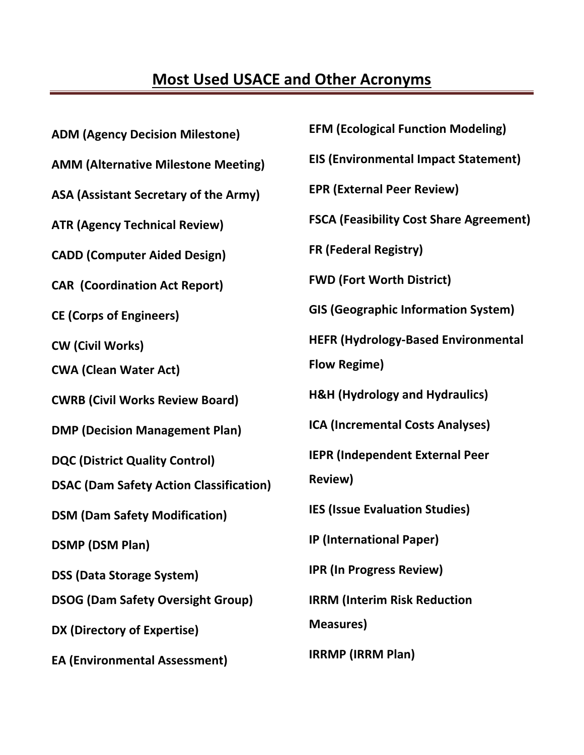## **Most Used USACE and Other Acronyms**

| <b>ADM (Agency Decision Milestone)</b>         | <b>EFM (Ecological Function Modeling)</b>      |
|------------------------------------------------|------------------------------------------------|
| <b>AMM (Alternative Milestone Meeting)</b>     | <b>EIS (Environmental Impact Statement)</b>    |
| ASA (Assistant Secretary of the Army)          | <b>EPR (External Peer Review)</b>              |
| <b>ATR (Agency Technical Review)</b>           | <b>FSCA (Feasibility Cost Share Agreement)</b> |
| <b>CADD (Computer Aided Design)</b>            | <b>FR (Federal Registry)</b>                   |
| <b>CAR (Coordination Act Report)</b>           | <b>FWD (Fort Worth District)</b>               |
| <b>CE (Corps of Engineers)</b>                 | <b>GIS (Geographic Information System)</b>     |
| <b>CW (Civil Works)</b>                        | <b>HEFR (Hydrology-Based Environmental</b>     |
| <b>CWA (Clean Water Act)</b>                   | <b>Flow Regime)</b>                            |
| <b>CWRB (Civil Works Review Board)</b>         | <b>H&amp;H (Hydrology and Hydraulics)</b>      |
| <b>DMP (Decision Management Plan)</b>          | <b>ICA (Incremental Costs Analyses)</b>        |
| <b>DQC (District Quality Control)</b>          | <b>IEPR (Independent External Peer</b>         |
| <b>DSAC (Dam Safety Action Classification)</b> | <b>Review)</b>                                 |
| <b>DSM (Dam Safety Modification)</b>           | <b>IES (Issue Evaluation Studies)</b>          |
| <b>DSMP (DSM Plan)</b>                         | <b>IP (International Paper)</b>                |
| <b>DSS (Data Storage System)</b>               | <b>IPR (In Progress Review)</b>                |
| <b>DSOG (Dam Safety Oversight Group)</b>       | <b>IRRM (Interim Risk Reduction</b>            |
| DX (Directory of Expertise)                    | <b>Measures)</b>                               |
| <b>EA (Environmental Assessment)</b>           | <b>IRRMP</b> (IRRM Plan)                       |